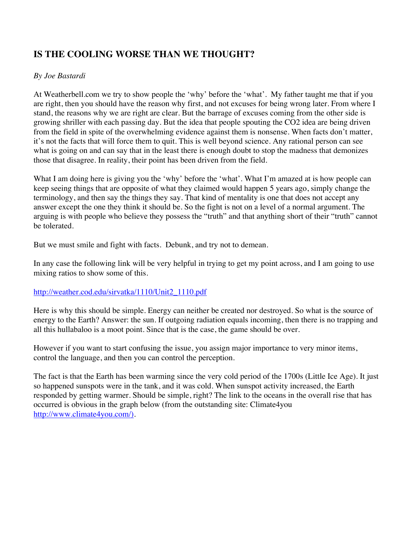## **IS THE COOLING WORSE THAN WE THOUGHT?**

## *By Joe Bastardi*

At Weatherbell.com we try to show people the 'why' before the 'what'. My father taught me that if you are right, then you should have the reason why first, and not excuses for being wrong later. From where I stand, the reasons why we are right are clear. But the barrage of excuses coming from the other side is growing shriller with each passing day. But the idea that people spouting the CO2 idea are being driven from the field in spite of the overwhelming evidence against them is nonsense. When facts don't matter, it's not the facts that will force them to quit. This is well beyond science. Any rational person can see what is going on and can say that in the least there is enough doubt to stop the madness that demonizes those that disagree. In reality, their point has been driven from the field.

What I am doing here is giving you the 'why' before the 'what'. What I'm amazed at is how people can keep seeing things that are opposite of what they claimed would happen 5 years ago, simply change the terminology, and then say the things they say. That kind of mentality is one that does not accept any answer except the one they think it should be. So the fight is not on a level of a normal argument. The arguing is with people who believe they possess the "truth" and that anything short of their "truth" cannot be tolerated.

But we must smile and fight with facts. Debunk, and try not to demean.

In any case the following link will be very helpful in trying to get my point across, and I am going to use mixing ratios to show some of this.

## http://weather.cod.edu/sirvatka/1110/Unit2\_1110.pdf

Here is why this should be simple. Energy can neither be created nor destroyed. So what is the source of energy to the Earth? Answer: the sun. If outgoing radiation equals incoming, then there is no trapping and all this hullabaloo is a moot point. Since that is the case, the game should be over.

However if you want to start confusing the issue, you assign major importance to very minor items, control the language, and then you can control the perception.

The fact is that the Earth has been warming since the very cold period of the 1700s (Little Ice Age). It just so happened sunspots were in the tank, and it was cold. When sunspot activity increased, the Earth responded by getting warmer. Should be simple, right? The link to the oceans in the overall rise that has occurred is obvious in the graph below (from the outstanding site: Climate4you http://www.climate4you.com/).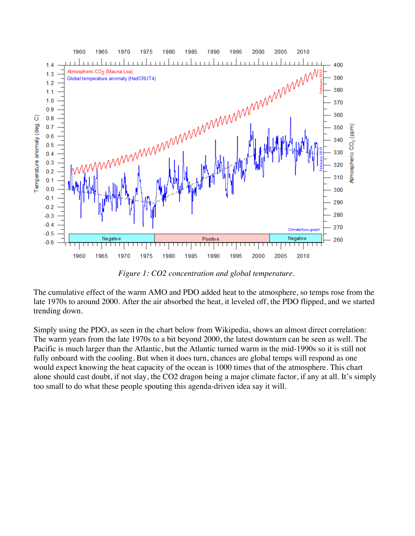

*Figure 1: CO2 concentration and global temperature.*

The cumulative effect of the warm AMO and PDO added heat to the atmosphere, so temps rose from the late 1970s to around 2000. After the air absorbed the heat, it leveled off, the PDO flipped, and we started trending down.

Simply using the PDO, as seen in the chart below from Wikipedia, shows an almost direct correlation: The warm years from the late 1970s to a bit beyond 2000, the latest downturn can be seen as well. The Pacific is much larger than the Atlantic, but the Atlantic turned warm in the mid-1990s so it is still not fully onboard with the cooling. But when it does turn, chances are global temps will respond as one would expect knowing the heat capacity of the ocean is 1000 times that of the atmosphere. This chart alone should cast doubt, if not slay, the CO2 dragon being a major climate factor, if any at all. It's simply too small to do what these people spouting this agenda-driven idea say it will.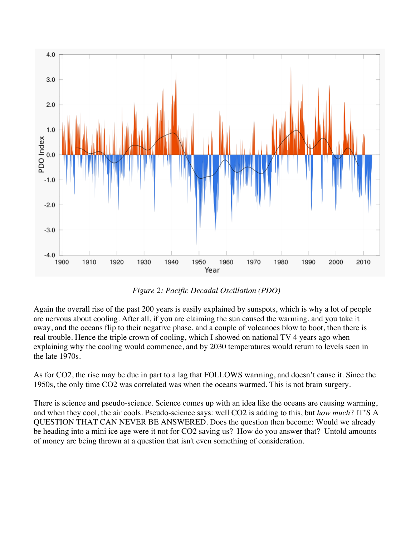

*Figure 2: Pacific Decadal Oscillation (PDO)*

Again the overall rise of the past 200 years is easily explained by sunspots, which is why a lot of people are nervous about cooling. After all, if you are claiming the sun caused the warming, and you take it away, and the oceans flip to their negative phase, and a couple of volcanoes blow to boot, then there is real trouble. Hence the triple crown of cooling, which I showed on national TV 4 years ago when explaining why the cooling would commence, and by 2030 temperatures would return to levels seen in the late 1970s.

As for CO2, the rise may be due in part to a lag that FOLLOWS warming, and doesn't cause it. Since the 1950s, the only time CO2 was correlated was when the oceans warmed. This is not brain surgery.

There is science and pseudo-science. Science comes up with an idea like the oceans are causing warming, and when they cool, the air cools. Pseudo-science says: well CO2 is adding to this, but *how much*? IT'S A QUESTION THAT CAN NEVER BE ANSWERED. Does the question then become: Would we already be heading into a mini ice age were it not for CO2 saving us? How do you answer that? Untold amounts of money are being thrown at a question that isn't even something of consideration.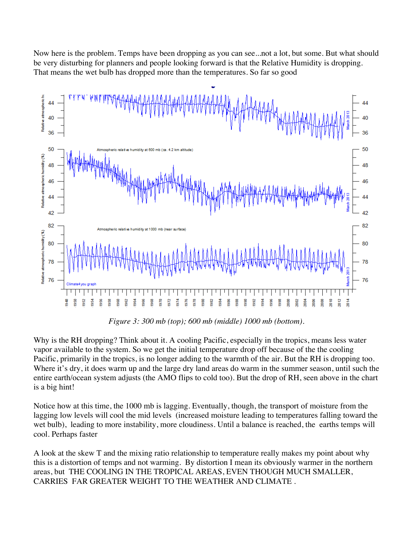Now here is the problem. Temps have been dropping as you can see...not a lot, but some. But what should be very disturbing for planners and people looking forward is that the Relative Humidity is dropping. That means the wet bulb has dropped more than the temperatures. So far so good



*Figure 3: 300 mb (top); 600 mb (middle) 1000 mb (bottom).*

Why is the RH dropping? Think about it. A cooling Pacific, especially in the tropics, means less water vapor available to the system. So we get the initial temperature drop off because of the the cooling Pacific, primarily in the tropics, is no longer adding to the warmth of the air. But the RH is dropping too. Where it's dry, it does warm up and the large dry land areas do warm in the summer season, until such the entire earth/ocean system adjusts (the AMO flips to cold too). But the drop of RH, seen above in the chart is a big hint!

Notice how at this time, the 1000 mb is lagging. Eventually, though, the transport of moisture from the lagging low levels will cool the mid levels (increased moisture leading to temperatures falling toward the wet bulb), leading to more instability, more cloudiness. Until a balance is reached, the earths temps will cool. Perhaps faster

A look at the skew T and the mixing ratio relationship to temperature really makes my point about why this is a distortion of temps and not warming. By distortion I mean its obviously warmer in the northern areas, but THE COOLING IN THE TROPICAL AREAS, EVEN THOUGH MUCH SMALLER, CARRIES FAR GREATER WEIGHT TO THE WEATHER AND CLIMATE .